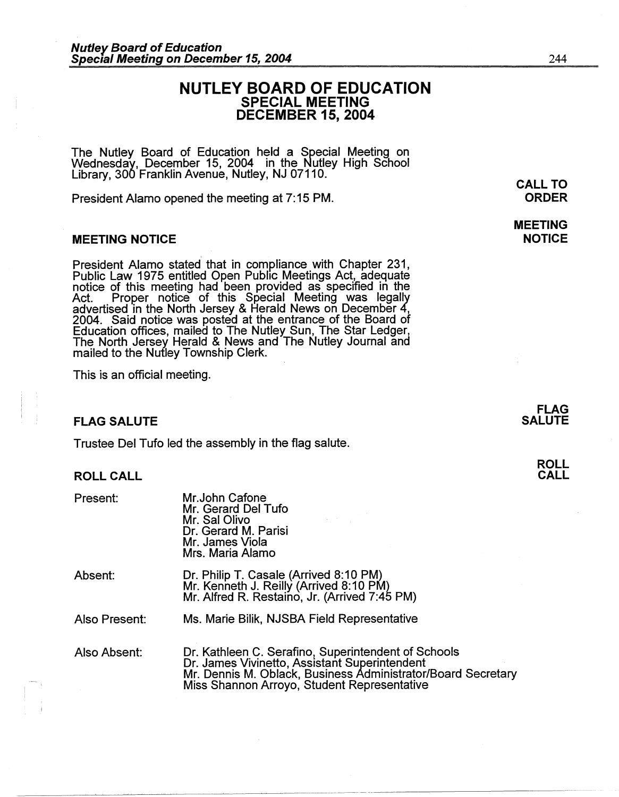# **NUTLEY BOARD OF EDUCATION SPECIAL MEETING DECEMBER 15, 2004**

The Nutley Board of Education held a Special Meeting on Wednesday, December 15, 2004 in the Nutley High School Library, 300 Franklin Avenue, Nutley, NJ 07110.

President Alamo opened the meeting at 7: 15 PM.

### **MEETING NOTICE**

President Alamo stated that in compliance with Chapter 231, Public Law 1975 entitled Open Public Meetings Act, adequate notice of this meeting had been provided as specified in the Act. Proper notice of this Special Meeting was legally advertised in the North Jersey & Herald News on December 4, 2004. Said notice was posted at the entrance of the Board of Education offices, mailed to The Nutley Sun, The Star Ledger, The North Jersey Herald & News and The Nutley Journal and mailed to the Nutley Township Clerk.

This is an official meeting.

# **FLAG SALUTE**

Trustee Del Tufo led the assembly in the flag salute.

#### **ROLL CALL**

| Present:      | Mr.John Cafone<br>Mr. Gerard Del Tufo<br>Mr. Sal Olivo<br>Dr. Gerard M. Parisi<br>Mr. James Viola<br>Mrs. Maria Alamo                                                                                               |
|---------------|---------------------------------------------------------------------------------------------------------------------------------------------------------------------------------------------------------------------|
| Absent:       | Dr. Philip T. Casale (Arrived 8:10 PM)<br>Mr. Kenneth J. Reilly (Arrived 8:10 PM)<br>Mr. Alfred R. Restaino, Jr. (Arrived 7:45 PM)                                                                                  |
| Also Present: | Ms. Marie Bilik, NJSBA Field Representative                                                                                                                                                                         |
| Also Absent:  | Dr. Kathleen C. Serafino, Superintendent of Schools<br>Dr. James Vivinetto, Assistant Superintendent<br>Mr. Dennis M. Oblack, Business Administrator/Board Secretary<br>Miss Shannon Arroyo, Student Representative |

**CALL TO ORDER** 

**MEETING NOTICE** 

> **FLAG SALUTE**